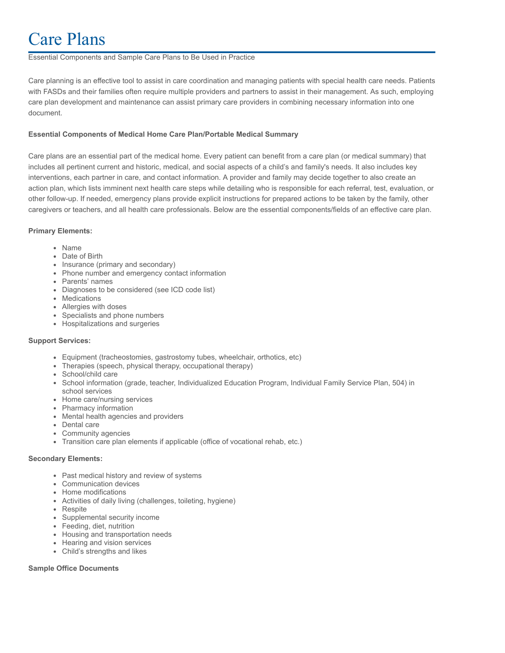# Care Plans

#### Essential Components and Sample Care Plans to Be Used in Practice

Care planning is an effective tool to assist in care coordination and managing patients with special health care needs. Patients with FASDs and their families often require multiple providers and partners to assist in their management. As such, employing care plan development and maintenance can assist primary care providers in combining necessary information into one document.

## **Essential Components of Medical Home Care Plan/Portable Medical Summary**

Care plans are an essential part of the medical home. Every patient can benefit from a care plan (or medical summary) that includes all pertinent current and historic, medical, and social aspects of a child's and family's needs. It also includes key interventions, each partner in care, and contact information. A provider and family may decide together to also create an action plan, which lists imminent next health care steps while detailing who is responsible for each referral, test, evaluation, or other follow-up. If needed, emergency plans provide explicit instructions for prepared actions to be taken by the family, other caregivers or teachers, and all health care professionals. Below are the essential components/fields of an effective care plan.

#### **Primary Elements:**

- Name
- Date of Birth
- Insurance (primary and secondary)
- Phone number and emergency contact information
- Parents' names
- Diagnoses to be considered (see ICD code list)
- Medications
- Allergies with doses
- Specialists and phone numbers
- Hospitalizations and surgeries

#### **Support Services:**

- Equipment (tracheostomies, gastrostomy tubes, wheelchair, orthotics, etc)
- Therapies (speech, physical therapy, occupational therapy)
- School/child care
- School information (grade, teacher, Individualized Education Program, Individual Family Service Plan, 504) in school services
- Home care/nursing services
- Pharmacy information
- Mental health agencies and providers
- Dental care
- Community agencies
- Transition care plan elements if applicable (office of vocational rehab, etc.)

#### **Secondary Elements:**

- Past medical history and review of systems
- Communication devices
- Home modifications
- Activities of daily living (challenges, toileting, hygiene)
- Respite
- Supplemental security income
- Feeding, diet, nutrition
- Housing and transportation needs
- Hearing and vision services
- Child's strengths and likes

# **Sample Office Documents**